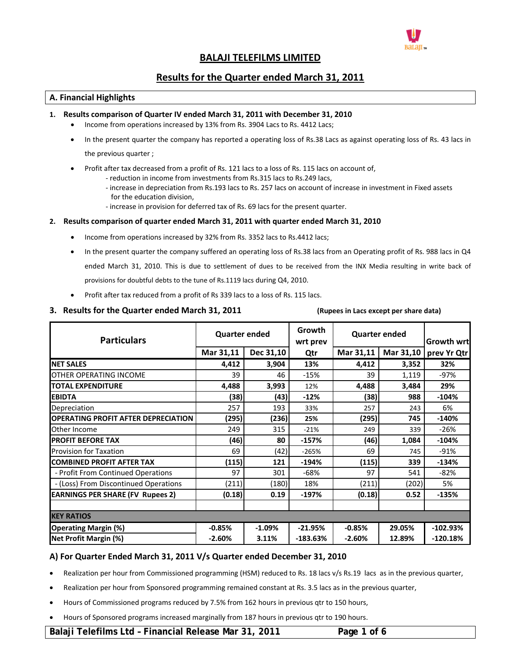

# **BALAJI TELEFILMS LIMITED**

# **Results for the Quarter ended March 31, 2011**

## **A. Financial Highlights**

## **1. Results comparison of Quarter IV ended March 31, 2011 with December 31, 2010**

- Income from operations increased by 13% from Rs. 3904 Lacs to Rs. 4412 Lacs;
- In the present quarter the company has reported a operating loss of Rs.38 Lacs as against operating loss of Rs. 43 lacs in the previous quarter ;
- Profit after tax decreased from a profit of Rs. 121 lacs to a loss of Rs. 115 lacs on account of,
	- ‐ reduction in income from investments from Rs.315 lacs to Rs.249 lacs,
	- ‐ increase in depreciation from Rs.193 lacs to Rs. 257 lacs on account of increase in investment in Fixed assets for the education division,
	- ‐ increase in provision for deferred tax of Rs. 69 lacs for the present quarter.

## **2. Results comparison of quarter ended March 31, 2011 with quarter ended March 31, 2010**

- Income from operations increased by 32% from Rs. 3352 lacs to Rs.4412 lacs;
- In the present quarter the company suffered an operating loss of Rs.38 lacs from an Operating profit of Rs. 988 lacs in Q4 ended March 31, 2010. This is due to settlement of dues to be received from the INX Media resulting in write back of provisions for doubtful debts to the tune of Rs.1119 lacs during Q4, 2010.
- Profit after tax reduced from a profit of Rs 339 lacs to a loss of Rs. 115 lacs.

## 3. Results for the Quarter ended March 31, 2011 (Rupees in Lacs except per share data)

| <b>Particulars</b>                         | <b>Quarter ended</b> |           | Growth<br>wrt prev | <b>Quarter ended</b> |           | <b>Growth wrt</b> |  |
|--------------------------------------------|----------------------|-----------|--------------------|----------------------|-----------|-------------------|--|
|                                            | Mar 31,11            | Dec 31,10 | Qtr                | Mar 31,11            | Mar 31,10 | prev Yr Qtr       |  |
| <b>NET SALES</b>                           | 4,412                | 3,904     | 13%                | 4,412                | 3,352     | 32%               |  |
| <b>OTHER OPERATING INCOME</b>              | 39                   | 46        | $-15%$             | 39                   | 1,119     | $-97%$            |  |
| <b>TOTAL EXPENDITURE</b>                   | 4,488                | 3,993     | 12%                | 4,488                | 3,484     | 29%               |  |
| <b>EBIDTA</b>                              | (38)                 | (43)      | $-12%$             | (38)                 | 988       | $-104%$           |  |
| Depreciation                               | 257                  | 193       | 33%                | 257                  | 243       | 6%                |  |
| <b>OPERATING PROFIT AFTER DEPRECIATION</b> | (295)                | (236)     | 25%                | (295)                | 745       | $-140%$           |  |
| Other Income                               | 249                  | 315       | $-21%$             | 249                  | 339       | $-26%$            |  |
| <b>PROFIT BEFORE TAX</b>                   | (46)                 | 80        | $-157%$            | (46)                 | 1,084     | $-104%$           |  |
| <b>Provision for Taxation</b>              | 69                   | (42)      | $-265%$            | 69                   | 745       | $-91%$            |  |
| <b>COMBINED PROFIT AFTER TAX</b>           | (115)                | 121       | $-194%$            | (115)                | 339       | $-134%$           |  |
| - Profit From Continued Operations         | 97                   | 301       | $-68%$             | 97                   | 541       | $-82%$            |  |
| - (Loss) From Discontinued Operations      | (211)                | (180)     | 18%                | (211)                | (202)     | 5%                |  |
| <b>EARNINGS PER SHARE (FV Rupees 2)</b>    | (0.18)               | 0.19      | $-197%$            | (0.18)               | 0.52      | $-135%$           |  |
|                                            |                      |           |                    |                      |           |                   |  |
| <b>KEY RATIOS</b>                          |                      |           |                    |                      |           |                   |  |
| <b>Operating Margin (%)</b>                | $-0.85%$             | $-1.09%$  | $-21.95%$          | $-0.85%$             | 29.05%    | $-102.93%$        |  |
| Net Profit Margin (%)                      | $-2.60%$             | 3.11%     | $-183.63%$         | $-2.60%$             | 12.89%    | $-120.18%$        |  |

## **A) For Quarter Ended March 31, 2011 V/s Quarter ended December 31, 2010**

- Realization per hour from Commissioned programming (HSM) reduced to Rs. 18 lacs v/s Rs.19 lacs as in the previous quarter,
- Realization per hour from Sponsored programming remained constant at Rs. 3.5 lacs as in the previous quarter,
- Hours of Commissioned programs reduced by 7.5% from 162 hours in previous qtr to 150 hours,
- Hours of Sponsored programs increased marginally from 187 hours in previous qtr to 190 hours.

## **Balaji Telefilms Ltd – Financial Release Mar 31, 2011 Page 1 of 6**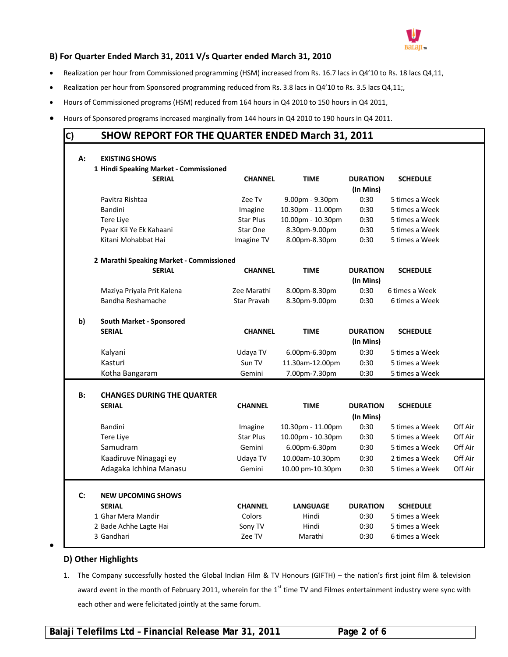

# **B) For Quarter Ended March 31, 2011 V/s Quarter ended March 31, 2010**

- Realization per hour from Commissioned programming (HSM) increased from Rs. 16.7 lacs in Q4'10 to Rs. 18 lacs Q4,11,
- Realization per hour from Sponsored programming reduced from Rs. 3.8 lacs in Q4'10 to Rs. 3.5 lacs Q4,11;,
- Hours of Commissioned programs (HSM) reduced from 164 hours in Q4 2010 to 150 hours in Q4 2011,
- Hours of Sponsored programs increased marginally from 144 hours in Q4 2010 to 190 hours in Q4 2011.

# **C) SHOW REPORT FOR THE QUARTER ENDED March 31, 2011**

| А:        | <b>EXISTING SHOWS</b>                      |                  |                   |                              |                 |         |
|-----------|--------------------------------------------|------------------|-------------------|------------------------------|-----------------|---------|
|           | 1 Hindi Speaking Market - Commissioned     |                  |                   |                              |                 |         |
|           | <b>SERIAL</b>                              | <b>CHANNEL</b>   | <b>TIME</b>       | <b>DURATION</b>              | <b>SCHEDULE</b> |         |
|           |                                            |                  |                   | (In Mins)                    |                 |         |
|           | Pavitra Rishtaa                            | Zee Tv           | 9.00pm - 9.30pm   | 0:30                         | 5 times a Week  |         |
|           | <b>Bandini</b>                             | Imagine          | 10.30pm - 11.00pm | 0:30                         | 5 times a Week  |         |
|           | Tere Live                                  | <b>Star Plus</b> | 10.00pm - 10.30pm | 0:30                         | 5 times a Week  |         |
|           | Pyaar Kii Ye Ek Kahaani                    | Star One         | 8.30pm-9.00pm     | 0:30                         | 5 times a Week  |         |
|           | Kitani Mohabbat Hai                        | Imagine TV       | 8.00pm-8.30pm     | 0:30                         | 5 times a Week  |         |
|           | 2 Marathi Speaking Market - Commissioned   |                  |                   |                              |                 |         |
|           | <b>SERIAL</b>                              | <b>CHANNEL</b>   | <b>TIME</b>       | <b>DURATION</b><br>(In Mins) | <b>SCHEDULE</b> |         |
|           | Maziya Priyala Prit Kalena                 | Zee Marathi      | 8.00pm-8.30pm     | 0:30                         | 6 times a Week  |         |
|           | Bandha Reshamache                          | Star Pravah      | 8.30pm-9.00pm     | 0:30                         | 6 times a Week  |         |
| b)        | <b>South Market - Sponsored</b>            |                  |                   |                              |                 |         |
|           | <b>SERIAL</b>                              | <b>CHANNEL</b>   | <b>TIME</b>       | <b>DURATION</b><br>(In Mins) | <b>SCHEDULE</b> |         |
|           | Kalyani                                    | Udaya TV         | 6.00pm-6.30pm     | 0:30                         | 5 times a Week  |         |
|           | Kasturi                                    | Sun TV           | 11.30am-12.00pm   | 0:30                         | 5 times a Week  |         |
|           | Kotha Bangaram                             | Gemini           | 7.00pm-7.30pm     | 0:30                         | 5 times a Week  |         |
| <b>B:</b> | <b>CHANGES DURING THE QUARTER</b>          |                  |                   |                              |                 |         |
|           | <b>SERIAL</b>                              | <b>CHANNEL</b>   | <b>TIME</b>       | <b>DURATION</b>              | <b>SCHEDULE</b> |         |
|           |                                            |                  |                   | (In Mins)                    |                 |         |
|           | Bandini                                    | Imagine          | 10.30pm - 11.00pm | 0:30                         | 5 times a Week  | Off Air |
|           | Tere Liye                                  | <b>Star Plus</b> | 10.00pm - 10.30pm | 0:30                         | 5 times a Week  | Off Air |
|           | Samudram                                   | Gemini           | 6.00pm-6.30pm     | 0:30                         | 5 times a Week  | Off Air |
|           | Kaadiruve Ninagagi ey                      | Udaya TV         | 10.00am-10.30pm   | 0:30                         | 2 times a Week  | Off Air |
|           | Adagaka Ichhina Manasu                     | Gemini           | 10.00 pm-10.30pm  | 0:30                         | 5 times a Week  | Off Air |
|           |                                            |                  |                   |                              |                 |         |
| C:        | <b>NEW UPCOMING SHOWS</b><br><b>SERIAL</b> |                  |                   |                              |                 |         |
|           |                                            | <b>CHANNEL</b>   | <b>LANGUAGE</b>   | <b>DURATION</b>              | <b>SCHEDULE</b> |         |
|           | 1 Ghar Mera Mandir                         | Colors           | Hindi             | 0:30                         | 5 times a Week  |         |
|           | 2 Bade Achhe Lagte Hai                     | Sony TV          | Hindi             | 0:30                         | 5 times a Week  |         |
|           | 3 Gandhari                                 | Zee TV           | Marathi           | 0:30                         | 6 times a Week  |         |

# **D) Other Highlights**

 $\bullet$ 

1. The Company successfully hosted the Global Indian Film & TV Honours (GIFTH) – the nation's first joint film & television award event in the month of February 2011, wherein for the 1<sup>st</sup> time TV and Filmes entertainment industry were sync with each other and were felicitated jointly at the same forum.

**Balaji Telefilms Ltd – Financial Release Mar 31, 2011 Page 2 of 6**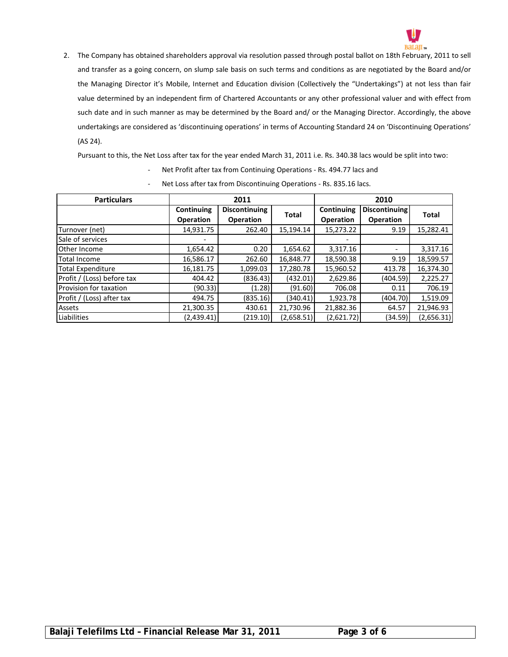

2. The Company has obtained shareholders approval via resolution passed through postal ballot on 18th February, 2011 to sell and transfer as a going concern, on slump sale basis on such terms and conditions as are negotiated by the Board and/or the Managing Director it's Mobile, Internet and Education division (Collectively the "Undertakings") at not less than fair value determined by an independent firm of Chartered Accountants or any other professional valuer and with effect from such date and in such manner as may be determined by the Board and/ or the Managing Director. Accordingly, the above undertakings are considered as 'discontinuing operations' in terms of Accounting Standard 24 on 'Discontinuing Operations' (AS 24).

Pursuant to this, the Net Loss after tax for the year ended March 31, 2011 i.e. Rs. 340.38 lacs would be split into two:

- Net Profit after tax from Continuing Operations Rs. 494.77 lacs and
- Net Loss after tax from Discontinuing Operations Rs. 835.16 lacs.

| <b>Particulars</b>         |                   | 2011             |              | 2010             |                      |              |  |
|----------------------------|-------------------|------------------|--------------|------------------|----------------------|--------------|--|
|                            | <b>Continuing</b> | Discontinuing    | <b>Total</b> | Continuing       | <b>Discontinuing</b> | <b>Total</b> |  |
|                            | <b>Operation</b>  | <b>Operation</b> |              | <b>Operation</b> | <b>Operation</b>     |              |  |
| Turnover (net)             | 14,931.75         | 262.40           | 15,194.14    | 15,273.22        | 9.19                 | 15,282.41    |  |
| Sale of services           |                   |                  |              |                  |                      |              |  |
| Other Income               | 1,654.42          | 0.20             | 1,654.62     | 3,317.16         | ٠                    | 3,317.16     |  |
| <b>Total Income</b>        | 16,586.17         | 262.60           | 16,848.77    | 18,590.38        | 9.19                 | 18,599.57    |  |
| <b>Total Expenditure</b>   | 16,181.75         | 1,099.03         | 17,280.78    | 15,960.52        | 413.78               | 16,374.30    |  |
| Profit / (Loss) before tax | 404.42            | (836.43)         | (432.01)     | 2,629.86         | (404.59)             | 2,225.27     |  |
| Provision for taxation     | (90.33)           | (1.28)           | (91.60)      | 706.08           | 0.11                 | 706.19       |  |
| Profit / (Loss) after tax  | 494.75            | (835.16)         | (340.41)     | 1,923.78         | (404.70)             | 1,519.09     |  |
| Assets                     | 21,300.35         | 430.61           | 21,730.96    | 21,882.36        | 64.57                | 21,946.93    |  |
| Liabilities                | (2.439.41)        | (219.10)         | (2,658.51)   | (2,621.72)       | (34.59)              | (2,656.31)   |  |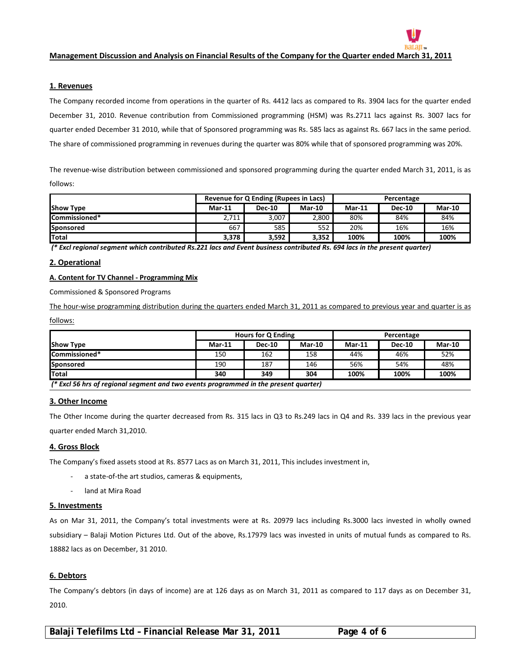

#### **1. Revenues**

The Company recorded income from operations in the quarter of Rs. 4412 lacs as compared to Rs. 3904 lacs for the quarter ended December 31, 2010. Revenue contribution from Commissioned programming (HSM) was Rs.2711 lacs against Rs. 3007 lacs for quarter ended December 31 2010, while that of Sponsored programming was Rs. 585 lacs as against Rs. 667 lacs in the same period. The share of commissioned programming in revenues during the quarter was 80% while that of sponsored programming was 20%.

The revenue-wise distribution between commissioned and sponsored programming during the quarter ended March 31, 2011, is as follows:

|                      | Revenue for Q Ending (Rupees in Lacs) |               |          | Percentage |               |        |
|----------------------|---------------------------------------|---------------|----------|------------|---------------|--------|
| <b>Show Type</b>     | $Mar-11$                              | <b>Dec-10</b> | $Mar-10$ | $Mar-11$   | <b>Dec-10</b> | Mar-10 |
| <b>Commissioned*</b> | 2,711                                 | 3,007         | 2,800    | 80%        | 84%           | 84%    |
| Sponsored            | 667                                   | 585           | 552      | 20%        | 16%           | 16%    |
| <b>Total</b>         | 3,378                                 | 3,592         | 3.352    | 100%       | 100%          | 100%   |

(\* Excl regional segment which contributed Rs.221 lacs and Event business contributed Rs. 694 lacs in the present quarter)

## **2. Operational**

#### **A. Content for TV Channel ‐ Programming Mix**

Commissioned & Sponsored Programs

The hour-wise programming distribution during the quarters ended March 31, 2011 as compared to previous year and quarter is as

follows:

|                                                                                      | <b>Hours for Q Ending</b> |               |               | Percentage |               |               |
|--------------------------------------------------------------------------------------|---------------------------|---------------|---------------|------------|---------------|---------------|
| <b>Show Type</b>                                                                     | $Mar-11$                  | <b>Dec-10</b> | <b>Mar-10</b> | $Mar-11$   | <b>Dec-10</b> | <b>Mar-10</b> |
| <b>Commissioned*</b>                                                                 | 150                       | 162           | 158           | 44%        | 46%           | 52%           |
| Sponsored                                                                            | 190                       | 187           | 146           | 56%        | 54%           | 48%           |
| <b>Total</b>                                                                         | 340                       | 349           | 304           | 100%       | 100%          | 100%          |
| (* Excl 56 hrs of regional segment and two events programmed in the present quarter) |                           |               |               |            |               |               |

#### **3. Other Income**

The Other Income during the quarter decreased from Rs. 315 lacs in Q3 to Rs.249 lacs in Q4 and Rs. 339 lacs in the previous year quarter ended March 31,2010.

## **4. Gross Block**

The Company's fixed assets stood at Rs. 8577 Lacs as on March 31, 2011, This includes investment in,

- ‐ a state‐of‐the art studios, cameras & equipments,
- land at Mira Road

#### **5. Investments**

As on Mar 31, 2011, the Company's total investments were at Rs. 20979 lacs including Rs.3000 lacs invested in wholly owned subsidiary – Balaji Motion Pictures Ltd. Out of the above, Rs.17979 lacs was invested in units of mutual funds as compared to Rs. 18882 lacs as on December, 31 2010.

#### **6. Debtors**

The Company's debtors (in days of income) are at 126 days as on March 31, 2011 as compared to 117 days as on December 31, 2010.

**Balaji Telefilms Ltd – Financial Release Mar 31, 2011 Page 4 of 6**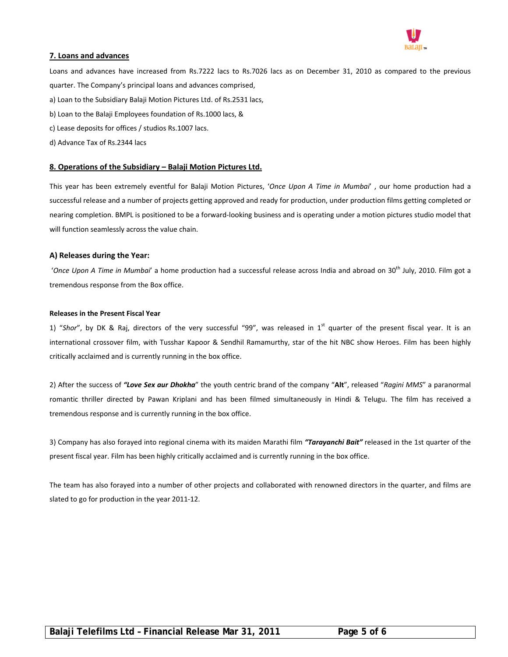

#### **7. Loans and advances**

Loans and advances have increased from Rs.7222 lacs to Rs.7026 lacs as on December 31, 2010 as compared to the previous quarter. The Company's principal loans and advances comprised, a) Loan to the Subsidiary Balaji Motion Pictures Ltd. of Rs.2531 lacs, b) Loan to the Balaji Employees foundation of Rs.1000 lacs, &

- c) Lease deposits for offices / studios Rs.1007 lacs.
- d) Advance Tax of Rs.2344 lacs

## **8. Operations of the Subsidiary – Balaji Motion Pictures Ltd.**

This year has been extremely eventful for Balaji Motion Pictures, '*Once Upon A Time in Mumbai*' , our home production had a successful release and a number of projects getting approved and ready for production, under production films getting completed or nearing completion. BMPL is positioned to be a forward‐looking business and is operating under a motion pictures studio model that will function seamlessly across the value chain.

## **A) Releases during the Year:**

'Once Upon A Time in Mumbai' a home production had a successful release across India and abroad on 30<sup>th</sup> July, 2010. Film got a tremendous response from the Box office.

#### **Releases in the Present Fiscal Year**

1) "Shor", by DK & Raj, directors of the very successful "99", was released in 1<sup>st</sup> quarter of the present fiscal year. It is an international crossover film, with Tusshar Kapoor & Sendhil Ramamurthy, star of the hit NBC show Heroes. Film has been highly critically acclaimed and is currently running in the box office.

2) After the success of *"Love Sex aur Dhokha*" the youth centric brand of the company "**Alt**", released "*Ragini MMS*" a paranormal romantic thriller directed by Pawan Kriplani and has been filmed simultaneously in Hindi & Telugu. The film has received a tremendous response and is currently running in the box office.

3) Company has also forayed into regional cinema with its maiden Marathi film *"Tarayanchi Bait"* released in the 1st quarter of the present fiscal year. Film has been highly critically acclaimed and is currently running in the box office.

The team has also forayed into a number of other projects and collaborated with renowned directors in the quarter, and films are slated to go for production in the year 2011‐12.